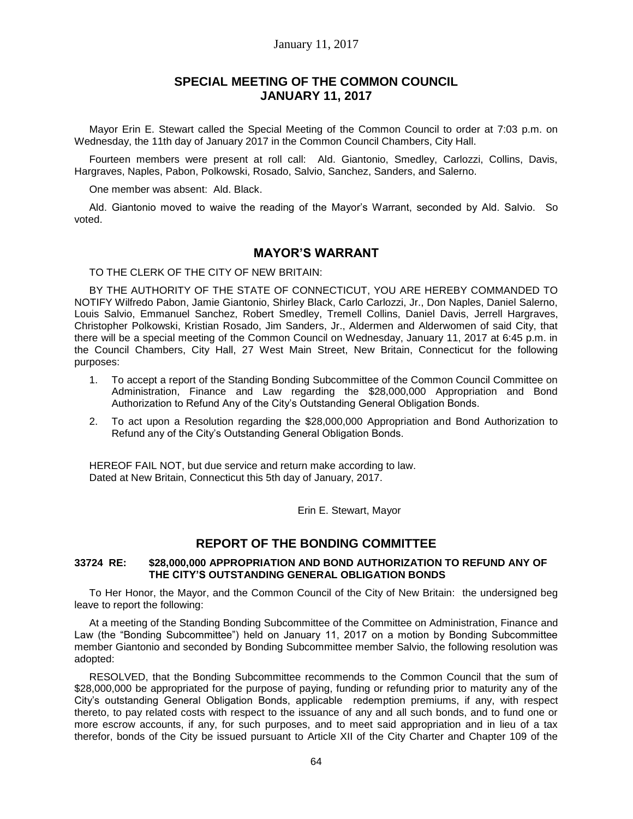## January 11, 2017

# **SPECIAL MEETING OF THE COMMON COUNCIL JANUARY 11, 2017**

Mayor Erin E. Stewart called the Special Meeting of the Common Council to order at 7:03 p.m. on Wednesday, the 11th day of January 2017 in the Common Council Chambers, City Hall.

Fourteen members were present at roll call: Ald. Giantonio, Smedley, Carlozzi, Collins, Davis, Hargraves, Naples, Pabon, Polkowski, Rosado, Salvio, Sanchez, Sanders, and Salerno.

One member was absent: Ald. Black.

Ald. Giantonio moved to waive the reading of the Mayor's Warrant, seconded by Ald. Salvio. So voted.

# **MAYOR'S WARRANT**

TO THE CLERK OF THE CITY OF NEW BRITAIN:

BY THE AUTHORITY OF THE STATE OF CONNECTICUT, YOU ARE HEREBY COMMANDED TO NOTIFY Wilfredo Pabon, Jamie Giantonio, Shirley Black, Carlo Carlozzi, Jr., Don Naples, Daniel Salerno, Louis Salvio, Emmanuel Sanchez, Robert Smedley, Tremell Collins, Daniel Davis, Jerrell Hargraves, Christopher Polkowski, Kristian Rosado, Jim Sanders, Jr., Aldermen and Alderwomen of said City, that there will be a special meeting of the Common Council on Wednesday, January 11, 2017 at 6:45 p.m. in the Council Chambers, City Hall, 27 West Main Street, New Britain, Connecticut for the following purposes:

- 1. To accept a report of the Standing Bonding Subcommittee of the Common Council Committee on Administration, Finance and Law regarding the \$28,000,000 Appropriation and Bond Authorization to Refund Any of the City's Outstanding General Obligation Bonds.
- 2. To act upon a Resolution regarding the \$28,000,000 Appropriation and Bond Authorization to Refund any of the City's Outstanding General Obligation Bonds.

HEREOF FAIL NOT, but due service and return make according to law. Dated at New Britain, Connecticut this 5th day of January, 2017.

Erin E. Stewart, Mayor

## **REPORT OF THE BONDING COMMITTEE**

### **33724 RE: \$28,000,000 APPROPRIATION AND BOND AUTHORIZATION TO REFUND ANY OF THE CITY'S OUTSTANDING GENERAL OBLIGATION BONDS**

To Her Honor, the Mayor, and the Common Council of the City of New Britain: the undersigned beg leave to report the following:

At a meeting of the Standing Bonding Subcommittee of the Committee on Administration, Finance and Law (the "Bonding Subcommittee") held on January 11, 2017 on a motion by Bonding Subcommittee member Giantonio and seconded by Bonding Subcommittee member Salvio, the following resolution was adopted:

RESOLVED, that the Bonding Subcommittee recommends to the Common Council that the sum of \$28,000,000 be appropriated for the purpose of paying, funding or refunding prior to maturity any of the City's outstanding General Obligation Bonds, applicable redemption premiums, if any, with respect thereto, to pay related costs with respect to the issuance of any and all such bonds, and to fund one or more escrow accounts, if any, for such purposes, and to meet said appropriation and in lieu of a tax therefor, bonds of the City be issued pursuant to Article XII of the City Charter and Chapter 109 of the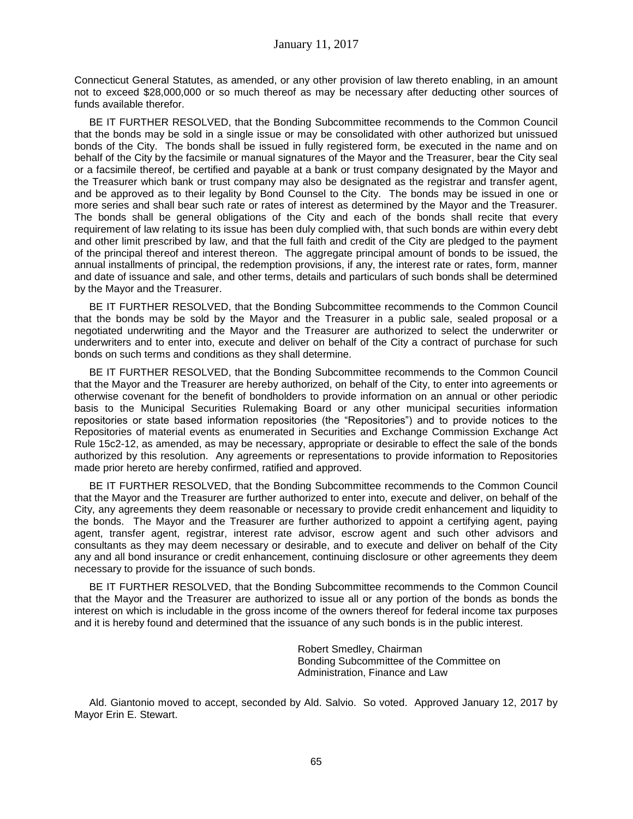Connecticut General Statutes, as amended, or any other provision of law thereto enabling, in an amount not to exceed \$28,000,000 or so much thereof as may be necessary after deducting other sources of funds available therefor.

BE IT FURTHER RESOLVED, that the Bonding Subcommittee recommends to the Common Council that the bonds may be sold in a single issue or may be consolidated with other authorized but unissued bonds of the City. The bonds shall be issued in fully registered form, be executed in the name and on behalf of the City by the facsimile or manual signatures of the Mayor and the Treasurer, bear the City seal or a facsimile thereof, be certified and payable at a bank or trust company designated by the Mayor and the Treasurer which bank or trust company may also be designated as the registrar and transfer agent, and be approved as to their legality by Bond Counsel to the City. The bonds may be issued in one or more series and shall bear such rate or rates of interest as determined by the Mayor and the Treasurer. The bonds shall be general obligations of the City and each of the bonds shall recite that every requirement of law relating to its issue has been duly complied with, that such bonds are within every debt and other limit prescribed by law, and that the full faith and credit of the City are pledged to the payment of the principal thereof and interest thereon. The aggregate principal amount of bonds to be issued, the annual installments of principal, the redemption provisions, if any, the interest rate or rates, form, manner and date of issuance and sale, and other terms, details and particulars of such bonds shall be determined by the Mayor and the Treasurer.

BE IT FURTHER RESOLVED, that the Bonding Subcommittee recommends to the Common Council that the bonds may be sold by the Mayor and the Treasurer in a public sale, sealed proposal or a negotiated underwriting and the Mayor and the Treasurer are authorized to select the underwriter or underwriters and to enter into, execute and deliver on behalf of the City a contract of purchase for such bonds on such terms and conditions as they shall determine.

BE IT FURTHER RESOLVED, that the Bonding Subcommittee recommends to the Common Council that the Mayor and the Treasurer are hereby authorized, on behalf of the City, to enter into agreements or otherwise covenant for the benefit of bondholders to provide information on an annual or other periodic basis to the Municipal Securities Rulemaking Board or any other municipal securities information repositories or state based information repositories (the "Repositories") and to provide notices to the Repositories of material events as enumerated in Securities and Exchange Commission Exchange Act Rule 15c2-12, as amended, as may be necessary, appropriate or desirable to effect the sale of the bonds authorized by this resolution. Any agreements or representations to provide information to Repositories made prior hereto are hereby confirmed, ratified and approved.

BE IT FURTHER RESOLVED, that the Bonding Subcommittee recommends to the Common Council that the Mayor and the Treasurer are further authorized to enter into, execute and deliver, on behalf of the City, any agreements they deem reasonable or necessary to provide credit enhancement and liquidity to the bonds. The Mayor and the Treasurer are further authorized to appoint a certifying agent, paying agent, transfer agent, registrar, interest rate advisor, escrow agent and such other advisors and consultants as they may deem necessary or desirable, and to execute and deliver on behalf of the City any and all bond insurance or credit enhancement, continuing disclosure or other agreements they deem necessary to provide for the issuance of such bonds.

BE IT FURTHER RESOLVED, that the Bonding Subcommittee recommends to the Common Council that the Mayor and the Treasurer are authorized to issue all or any portion of the bonds as bonds the interest on which is includable in the gross income of the owners thereof for federal income tax purposes and it is hereby found and determined that the issuance of any such bonds is in the public interest.

> Robert Smedley, Chairman Bonding Subcommittee of the Committee on Administration, Finance and Law

Ald. Giantonio moved to accept, seconded by Ald. Salvio. So voted. Approved January 12, 2017 by Mayor Erin E. Stewart.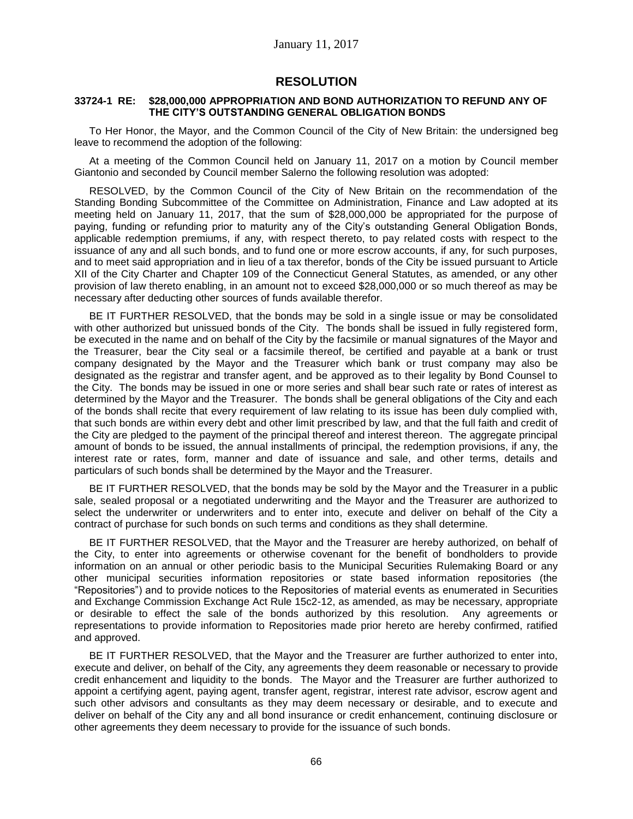## **RESOLUTION**

### **33724-1 RE: \$28,000,000 APPROPRIATION AND BOND AUTHORIZATION TO REFUND ANY OF THE CITY'S OUTSTANDING GENERAL OBLIGATION BONDS**

To Her Honor, the Mayor, and the Common Council of the City of New Britain: the undersigned beg leave to recommend the adoption of the following:

At a meeting of the Common Council held on January 11, 2017 on a motion by Council member Giantonio and seconded by Council member Salerno the following resolution was adopted:

RESOLVED, by the Common Council of the City of New Britain on the recommendation of the Standing Bonding Subcommittee of the Committee on Administration, Finance and Law adopted at its meeting held on January 11, 2017, that the sum of \$28,000,000 be appropriated for the purpose of paying, funding or refunding prior to maturity any of the City's outstanding General Obligation Bonds, applicable redemption premiums, if any, with respect thereto, to pay related costs with respect to the issuance of any and all such bonds, and to fund one or more escrow accounts, if any, for such purposes, and to meet said appropriation and in lieu of a tax therefor, bonds of the City be issued pursuant to Article XII of the City Charter and Chapter 109 of the Connecticut General Statutes, as amended, or any other provision of law thereto enabling, in an amount not to exceed \$28,000,000 or so much thereof as may be necessary after deducting other sources of funds available therefor.

BE IT FURTHER RESOLVED, that the bonds may be sold in a single issue or may be consolidated with other authorized but unissued bonds of the City. The bonds shall be issued in fully registered form, be executed in the name and on behalf of the City by the facsimile or manual signatures of the Mayor and the Treasurer, bear the City seal or a facsimile thereof, be certified and payable at a bank or trust company designated by the Mayor and the Treasurer which bank or trust company may also be designated as the registrar and transfer agent, and be approved as to their legality by Bond Counsel to the City. The bonds may be issued in one or more series and shall bear such rate or rates of interest as determined by the Mayor and the Treasurer. The bonds shall be general obligations of the City and each of the bonds shall recite that every requirement of law relating to its issue has been duly complied with, that such bonds are within every debt and other limit prescribed by law, and that the full faith and credit of the City are pledged to the payment of the principal thereof and interest thereon. The aggregate principal amount of bonds to be issued, the annual installments of principal, the redemption provisions, if any, the interest rate or rates, form, manner and date of issuance and sale, and other terms, details and particulars of such bonds shall be determined by the Mayor and the Treasurer.

BE IT FURTHER RESOLVED, that the bonds may be sold by the Mayor and the Treasurer in a public sale, sealed proposal or a negotiated underwriting and the Mayor and the Treasurer are authorized to select the underwriter or underwriters and to enter into, execute and deliver on behalf of the City a contract of purchase for such bonds on such terms and conditions as they shall determine.

BE IT FURTHER RESOLVED, that the Mayor and the Treasurer are hereby authorized, on behalf of the City, to enter into agreements or otherwise covenant for the benefit of bondholders to provide information on an annual or other periodic basis to the Municipal Securities Rulemaking Board or any other municipal securities information repositories or state based information repositories (the "Repositories") and to provide notices to the Repositories of material events as enumerated in Securities and Exchange Commission Exchange Act Rule 15c2-12, as amended, as may be necessary, appropriate or desirable to effect the sale of the bonds authorized by this resolution. Any agreements or representations to provide information to Repositories made prior hereto are hereby confirmed, ratified and approved.

BE IT FURTHER RESOLVED, that the Mayor and the Treasurer are further authorized to enter into, execute and deliver, on behalf of the City, any agreements they deem reasonable or necessary to provide credit enhancement and liquidity to the bonds. The Mayor and the Treasurer are further authorized to appoint a certifying agent, paying agent, transfer agent, registrar, interest rate advisor, escrow agent and such other advisors and consultants as they may deem necessary or desirable, and to execute and deliver on behalf of the City any and all bond insurance or credit enhancement, continuing disclosure or other agreements they deem necessary to provide for the issuance of such bonds.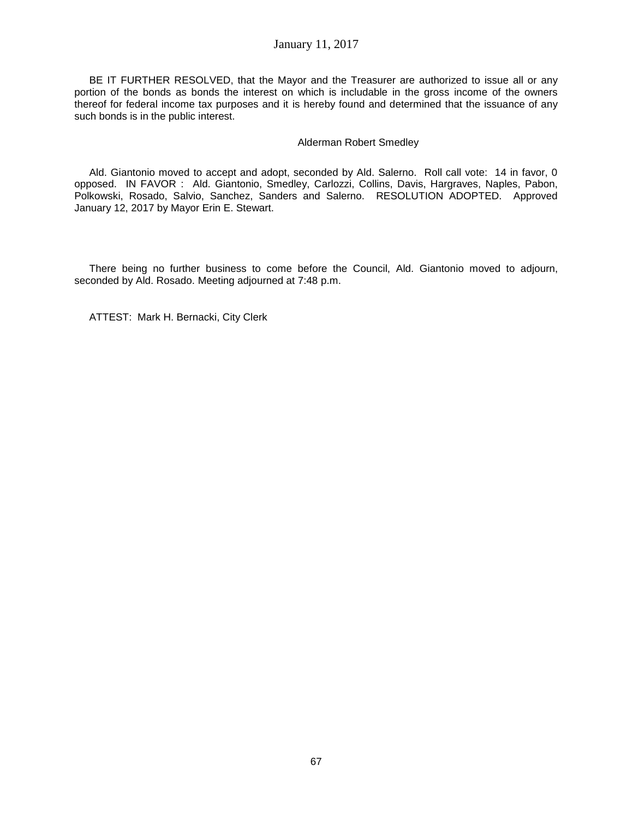## January 11, 2017

BE IT FURTHER RESOLVED, that the Mayor and the Treasurer are authorized to issue all or any portion of the bonds as bonds the interest on which is includable in the gross income of the owners thereof for federal income tax purposes and it is hereby found and determined that the issuance of any such bonds is in the public interest.

### Alderman Robert Smedley

Ald. Giantonio moved to accept and adopt, seconded by Ald. Salerno. Roll call vote: 14 in favor, 0 opposed. IN FAVOR : Ald. Giantonio, Smedley, Carlozzi, Collins, Davis, Hargraves, Naples, Pabon, Polkowski, Rosado, Salvio, Sanchez, Sanders and Salerno. RESOLUTION ADOPTED. Approved January 12, 2017 by Mayor Erin E. Stewart.

There being no further business to come before the Council, Ald. Giantonio moved to adjourn, seconded by Ald. Rosado. Meeting adjourned at 7:48 p.m.

ATTEST: Mark H. Bernacki, City Clerk